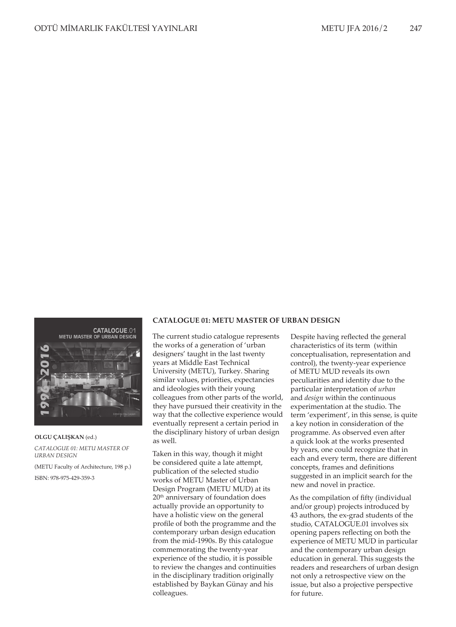# **CATALOGUE.01**



**OLGU ÇALIŞKAN** (ed.) *CATALOGUE 01: METU MASTER OF URBAN DESIGN* (METU Faculty of Architecture, 198 p.)

ISBN: 978-975-429-359-3

### **CATALOGUE 01: METU MASTER OF URBAN DESIGN**

The current studio catalogue represents the works of a generation of 'urban designers' taught in the last twenty years at Middle East Technical University (METU), Turkey. Sharing similar values, priorities, expectancies and ideologies with their young colleagues from other parts of the world, they have pursued their creativity in the way that the collective experience would eventually represent a certain period in the disciplinary history of urban design as well.

Taken in this way, though it might be considered quite a late attempt, publication of the selected studio works of METU Master of Urban Design Program (METU MUD) at its 20th anniversary of foundation does actually provide an opportunity to have a holistic view on the general profile of both the programme and the contemporary urban design education from the mid-1990s. By this catalogue commemorating the twenty-year experience of the studio, it is possible to review the changes and continuities in the disciplinary tradition originally established by Baykan Günay and his colleagues.

Despite having reflected the general characteristics of its term (within conceptualisation, representation and control), the twenty-year experience of METU MUD reveals its own peculiarities and identity due to the particular interpretation of *urban* and *design* within the continuous experimentation at the studio. The term 'experiment', in this sense, is quite a key notion in consideration of the programme. As observed even after a quick look at the works presented by years, one could recognize that in each and every term, there are different concepts, frames and definitions suggested in an implicit search for the new and novel in practice.

As the compilation of fifty (individual and/or group) projects introduced by 43 authors, the ex-grad students of the studio, CATALOGUE.01 involves six opening papers reflecting on both the experience of METU MUD in particular and the contemporary urban design education in general. This suggests the readers and researchers of urban design not only a retrospective view on the issue, but also a projective perspective for future.